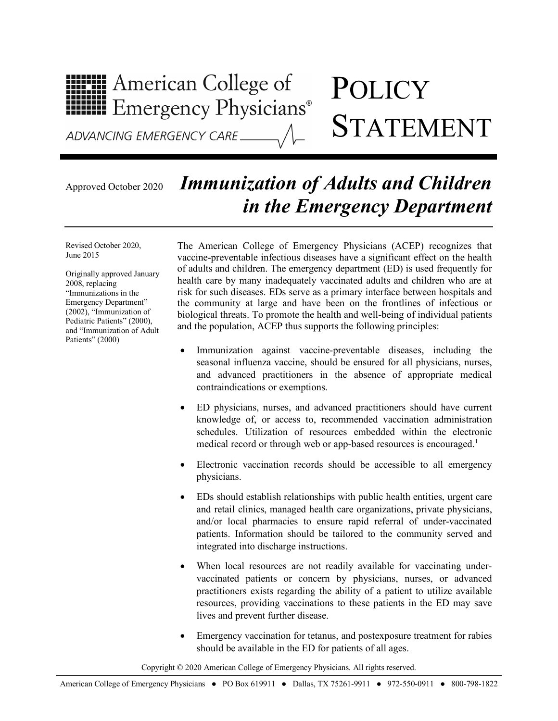

## **POLICY** STATEMENT

ADVANCING EMERGENCY CARE

## Approved October 2020 *Immunization of Adults and Children in the Emergency Department*

Revised October 2020, June 2015

Originally approved January 2008, replacing "Immunizations in the Emergency Department" (2002), "Immunization of Pediatric Patients" (2000), and "Immunization of Adult Patients" (2000)

The American College of Emergency Physicians (ACEP) recognizes that vaccine-preventable infectious diseases have a significant effect on the health of adults and children. The emergency department (ED) is used frequently for health care by many inadequately vaccinated adults and children who are at risk for such diseases. EDs serve as a primary interface between hospitals and the community at large and have been on the frontlines of infectious or biological threats. To promote the health and well-being of individual patients and the population, ACEP thus supports the following principles:

- Immunization against vaccine-preventable diseases, including the seasonal influenza vaccine, should be ensured for all physicians, nurses, and advanced practitioners in the absence of appropriate medical contraindications or exemptions.
- ED physicians, nurses, and advanced practitioners should have current knowledge of, or access to, recommended vaccination administration schedules. Utilization of resources embedded within the electronic medical record or through web or app-based resources is encouraged.<sup>1</sup>
- Electronic vaccination records should be accessible to all emergency physicians.
- EDs should establish relationships with public health entities, urgent care and retail clinics, managed health care organizations, private physicians, and/or local pharmacies to ensure rapid referral of under-vaccinated patients. Information should be tailored to the community served and integrated into discharge instructions.
- When local resources are not readily available for vaccinating undervaccinated patients or concern by physicians, nurses, or advanced practitioners exists regarding the ability of a patient to utilize available resources, providing vaccinations to these patients in the ED may save lives and prevent further disease.
- Emergency vaccination for tetanus, and postexposure treatment for rabies should be available in the ED for patients of all ages.

Copyright © 2020 American College of Emergency Physicians. All rights reserved.